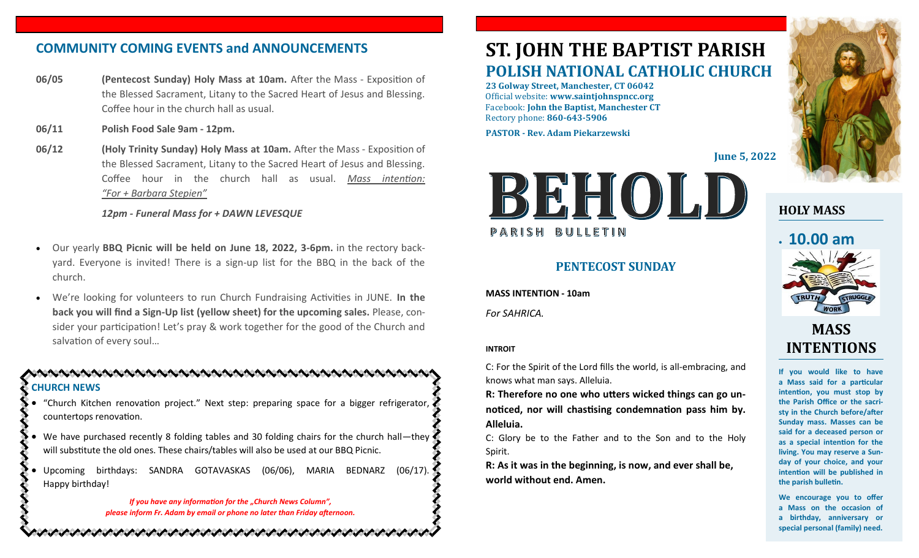# **COMMUNITY COMING EVENTS and ANNOUNCEMENTS**

- **06/05 (Pentecost Sunday) Holy Mass at 10am.** After the Mass Exposition of the Blessed Sacrament, Litany to the Sacred Heart of Jesus and Blessing. Coffee hour in the church hall as usual.
- **06/11 Polish Food Sale 9am - 12pm.**
- **06/12 (Holy Trinity Sunday) Holy Mass at 10am.** After the Mass Exposition of the Blessed Sacrament, Litany to the Sacred Heart of Jesus and Blessing. Coffee hour in the church hall as usual. *Mass intention: "For + Barbara Stepien"*

#### *12pm - Funeral Mass for + DAWN LEVESQUE*

- Our yearly **BBQ Picnic will be held on June 18, 2022, 3-6pm.** in the rectory backyard. Everyone is invited! There is a sign-up list for the BBQ in the back of the church.
- We're looking for volunteers to run Church Fundraising Activities in JUNE. **In the back you will find a Sign-Up list (yellow sheet) for the upcoming sales.** Please, consider your participation! Let's pray & work together for the good of the Church and salvation of every soul…

### **CHURCH NEWS**

- "Church Kitchen renovation project." Next step: preparing space for a bigger refrigerator, countertops renovation.
- We have purchased recently 8 folding tables and 30 folding chairs for the church hall—they will substitute the old ones. These chairs/tables will also be used at our BBQ Picnic.
- Upcoming birthdays: SANDRA GOTAVASKAS (06/06), MARIA BEDNARZ (06/17). Happy birthday!

いいいいいいいいいいいいいいいいいいいいいいいいいいいい

*If you have any information for the "Church News Column", please inform Fr. Adam by email or phone no later than Friday afternoon.*

# **ST. JOHN THE BAPTIST PARISH POLISH NATIONAL CATHOLIC CHURCH**

**23 Golway Street, Manchester, CT 06042** Official website: **www.saintjohnspncc.org** Facebook: **John the Baptist, Manchester CT** Rectory phone: **860-643-5906** 

**PASTOR - Rev. Adam Piekarzewski**

**June 5, 2022**



## **PENTECOST SUNDAY**

**MASS INTENTION - 10am** *For SAHRICA.* 

#### **INTROIT**

C: For the Spirit of the Lord fills the world, is all-embracing, and knows what man says. Alleluia.

**R: Therefore no one who utters wicked things can go unnoticed, nor will chastising condemnation pass him by. Alleluia.**

C: Glory be to the Father and to the Son and to the Holy Spirit.

**R: As it was in the beginning, is now, and ever shall be, world without end. Amen.**



## **HOLY MASS**

# • **10.00 am**



# **MASS INTENTIONS**

**If you would like to have a Mass said for a particular intention, you must stop by the Parish Office or the sacristy in the Church before/after Sunday mass. Masses can be said for a deceased person or as a special intention for the living. You may reserve a Sunday of your choice, and your intention will be published in the parish bulletin.**

**We encourage you to offer a Mass on the occasion of a birthday, anniversary or special personal (family) need.**